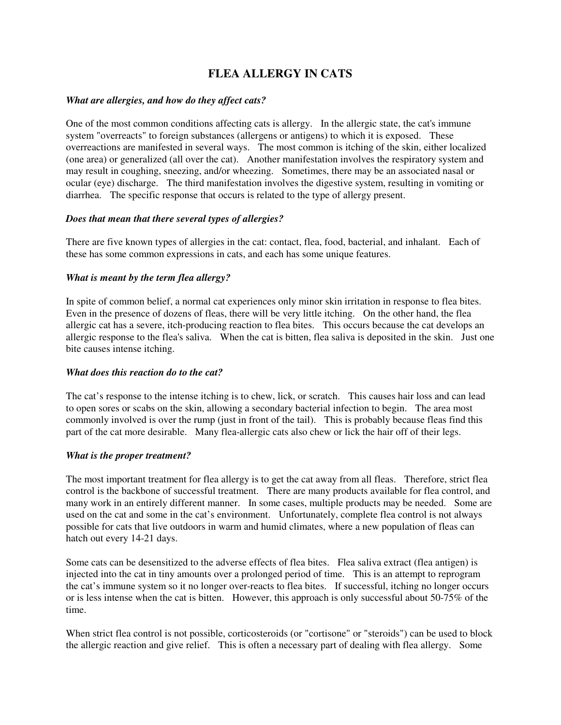# **FLEA ALLERGY IN CATS**

### *What are allergies, and how do they affect cats?*

One of the most common conditions affecting cats is allergy. In the allergic state, the cat's immune system "overreacts" to foreign substances (allergens or antigens) to which it is exposed. These overreactions are manifested in several ways. The most common is itching of the skin, either localized (one area) or generalized (all over the cat). Another manifestation involves the respiratory system and may result in coughing, sneezing, and/or wheezing. Sometimes, there may be an associated nasal or ocular (eye) discharge. The third manifestation involves the digestive system, resulting in vomiting or diarrhea. The specific response that occurs is related to the type of allergy present.

#### *Does that mean that there several types of allergies?*

There are five known types of allergies in the cat: contact, flea, food, bacterial, and inhalant. Each of these has some common expressions in cats, and each has some unique features.

## *What is meant by the term flea allergy?*

In spite of common belief, a normal cat experiences only minor skin irritation in response to flea bites. Even in the presence of dozens of fleas, there will be very little itching. On the other hand, the flea allergic cat has a severe, itch-producing reaction to flea bites. This occurs because the cat develops an allergic response to the flea's saliva. When the cat is bitten, flea saliva is deposited in the skin. Just one bite causes intense itching.

#### *What does this reaction do to the cat?*

The cat's response to the intense itching is to chew, lick, or scratch. This causes hair loss and can lead to open sores or scabs on the skin, allowing a secondary bacterial infection to begin. The area most commonly involved is over the rump (just in front of the tail). This is probably because fleas find this part of the cat more desirable. Many flea-allergic cats also chew or lick the hair off of their legs.

#### *What is the proper treatment?*

The most important treatment for flea allergy is to get the cat away from all fleas. Therefore, strict flea control is the backbone of successful treatment. There are many products available for flea control, and many work in an entirely different manner. In some cases, multiple products may be needed. Some are used on the cat and some in the cat's environment. Unfortunately, complete flea control is not always possible for cats that live outdoors in warm and humid climates, where a new population of fleas can hatch out every 14-21 days.

Some cats can be desensitized to the adverse effects of flea bites. Flea saliva extract (flea antigen) is injected into the cat in tiny amounts over a prolonged period of time. This is an attempt to reprogram the cat's immune system so it no longer over-reacts to flea bites. If successful, itching no longer occurs or is less intense when the cat is bitten. However, this approach is only successful about 50-75% of the time.

When strict flea control is not possible, corticosteroids (or "cortisone" or "steroids") can be used to block the allergic reaction and give relief. This is often a necessary part of dealing with flea allergy. Some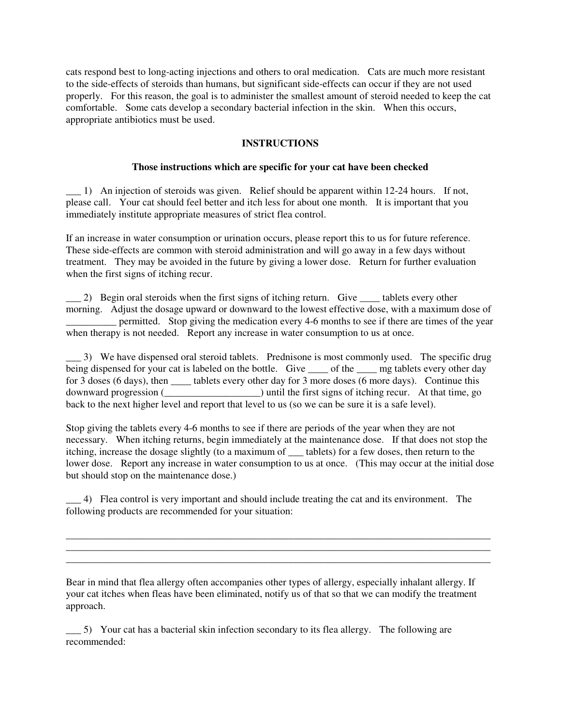cats respond best to long-acting injections and others to oral medication. Cats are much more resistant to the side-effects of steroids than humans, but significant side-effects can occur if they are not used properly. For this reason, the goal is to administer the smallest amount of steroid needed to keep the cat comfortable. Some cats develop a secondary bacterial infection in the skin. When this occurs, appropriate antibiotics must be used.

#### **INSTRUCTIONS**

#### **Those instructions which are specific for your cat have been checked**

\_\_\_ 1) An injection of steroids was given. Relief should be apparent within 12-24 hours. If not, please call. Your cat should feel better and itch less for about one month. It is important that you immediately institute appropriate measures of strict flea control.

If an increase in water consumption or urination occurs, please report this to us for future reference. These side-effects are common with steroid administration and will go away in a few days without treatment. They may be avoided in the future by giving a lower dose. Return for further evaluation when the first signs of itching recur.

\_\_\_ 2) Begin oral steroids when the first signs of itching return. Give \_\_\_\_ tablets every other morning. Adjust the dosage upward or downward to the lowest effective dose, with a maximum dose of \_\_\_\_\_\_\_\_\_\_ permitted. Stop giving the medication every 4-6 months to see if there are times of the year when therapy is not needed. Report any increase in water consumption to us at once.

\_\_\_ 3) We have dispensed oral steroid tablets. Prednisone is most commonly used. The specific drug being dispensed for your cat is labeled on the bottle. Give \_\_\_\_ of the \_\_\_\_ mg tablets every other day for 3 doses (6 days), then \_\_\_\_\_ tablets every other day for 3 more doses (6 more days). Continue this downward progression (\_\_\_\_\_\_\_\_\_\_\_\_\_\_\_\_\_\_\_) until the first signs of itching recur. At that time, go back to the next higher level and report that level to us (so we can be sure it is a safe level).

Stop giving the tablets every 4-6 months to see if there are periods of the year when they are not necessary. When itching returns, begin immediately at the maintenance dose. If that does not stop the itching, increase the dosage slightly (to a maximum of \_\_\_ tablets) for a few doses, then return to the lower dose. Report any increase in water consumption to us at once. (This may occur at the initial dose but should stop on the maintenance dose.)

\_\_\_ 4) Flea control is very important and should include treating the cat and its environment. The following products are recommended for your situation:

\_\_\_\_\_\_\_\_\_\_\_\_\_\_\_\_\_\_\_\_\_\_\_\_\_\_\_\_\_\_\_\_\_\_\_\_\_\_\_\_\_\_\_\_\_\_\_\_\_\_\_\_\_\_\_\_\_\_\_\_\_\_\_\_\_\_\_\_\_\_\_\_\_\_\_\_\_\_\_\_\_\_\_\_ \_\_\_\_\_\_\_\_\_\_\_\_\_\_\_\_\_\_\_\_\_\_\_\_\_\_\_\_\_\_\_\_\_\_\_\_\_\_\_\_\_\_\_\_\_\_\_\_\_\_\_\_\_\_\_\_\_\_\_\_\_\_\_\_\_\_\_\_\_\_\_\_\_\_\_\_\_\_\_\_\_\_\_\_ \_\_\_\_\_\_\_\_\_\_\_\_\_\_\_\_\_\_\_\_\_\_\_\_\_\_\_\_\_\_\_\_\_\_\_\_\_\_\_\_\_\_\_\_\_\_\_\_\_\_\_\_\_\_\_\_\_\_\_\_\_\_\_\_\_\_\_\_\_\_\_\_\_\_\_\_\_\_\_\_\_\_\_\_

Bear in mind that flea allergy often accompanies other types of allergy, especially inhalant allergy. If your cat itches when fleas have been eliminated, notify us of that so that we can modify the treatment approach.

\_\_\_ 5) Your cat has a bacterial skin infection secondary to its flea allergy. The following are recommended: